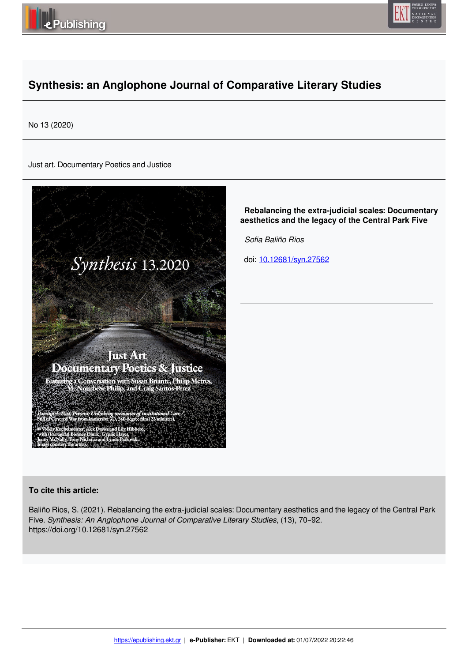



# **Synthesis: an Anglophone Journal of Comparative Literary Studies**

No 13 (2020)

Just art. Documentary Poetics and Justice



 **Rebalancing the extra-judicial scales: Documentary aesthetics and the legacy of the Central Park Five**

 *Sofia Baliño Rios* 

doi: 10.12681/syn.27562

# **To cite this article:**

Baliño Rios, S. (2021). Rebalancing the extra-judicial scales: Documentary aesthetics and the legacy of the Central Park Five. *Synthesis: An Anglophone Journal of Comparative Literary Studies*, (13), 70–92. https://doi.org/10.12681/syn.27562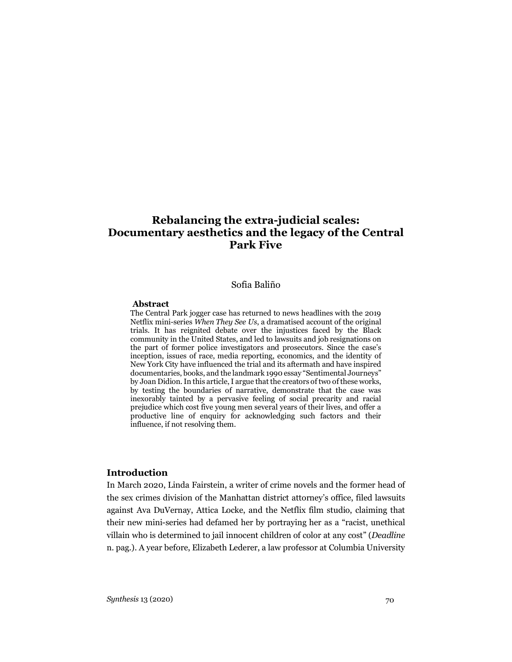# **Rebalancing the extra-judicial scales: Documentary aesthetics and the legacy of the Central Park Five**

#### Sofia Baliño

#### **Abstract**

The Central Park jogger case has returned to news headlines with the 2019 Netflix mini-series *When They See Us*, a dramatised account of the original trials. It has reignited debate over the injustices faced by the Black community in the United States, and led to lawsuits and job resignations on the part of former police investigators and prosecutors. Since the case's inception, issues of race, media reporting, economics, and the identity of New York City have influenced the trial and its aftermath and have inspired documentaries, books, and the landmark 1990 essay "Sentimental Journeys" by Joan Didion.In this article, I argue that the creators of two of these works, by testing the boundaries of narrative, demonstrate that the case was inexorably tainted by a pervasive feeling of social precarity and racial prejudice which cost five young men several years of their lives, and offer a productive line of enquiry for acknowledging such factors and their influence, if not resolving them.

#### **Introduction**

In March 2020, Linda Fairstein, a writer of crime novels and the former head of the sex crimes division of the Manhattan district attorney's office, filed lawsuits against Ava DuVernay, Attica Locke, and the Netflix film studio, claiming that their new mini-series had defamed her by portraying her as a "racist, unethical villain who is determined to jail innocent children of color at any cost" (*Deadline* n. pag.). A year before, Elizabeth Lederer, a law professor at Columbia University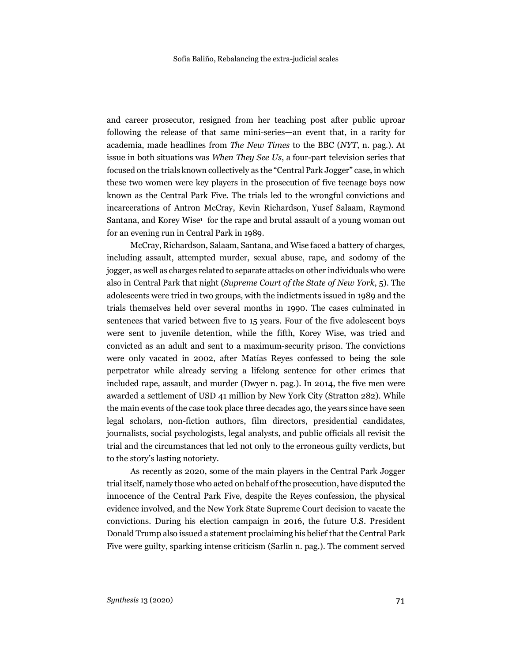and career prosecutor, resigned from her teaching post after public uproar following the release of that same mini-series—an event that, in a rarity for academia, made headlines from *The New Times* to the BBC (*NYT*, n. pag.). At issue in both situations was *When They See Us*, a four-part television series that focused on the trials known collectively as the "Central Park Jogger" case, in which these two women were key players in the prosecution of five teenage boys now known as the Central Park Five. The trials led to the wrongful convictions and incarcerations of Antron McCray, Kevin Richardson, Yusef Salaam, Raymond Santana, and Korey Wise<sup>1</sup> for the rape and brutal assault of a young woman out for an evening run in Central Park in 1989.

McCray, Richardson, Salaam, Santana, and Wise faced a battery of charges, including assault, attempted murder, sexual abuse, rape, and sodomy of the jogger, as well as charges related to separate attacks on other individuals who were also in Central Park that night (*Supreme Court of the State of New York*, 5). The adolescents were tried in two groups, with the indictments issued in 1989 and the trials themselves held over several months in 1990. The cases culminated in sentences that varied between five to 15 years. Four of the five adolescent boys were sent to juvenile detention, while the fifth, Korey Wise, was tried and convicted as an adult and sent to a maximum-security prison. The convictions were only vacated in 2002, after Matías Reyes confessed to being the sole perpetrator while already serving a lifelong sentence for other crimes that included rape, assault, and murder (Dwyer n. pag.). In 2014, the five men were awarded a settlement of USD 41 million by New York City (Stratton 282). While the main events of the case took place three decades ago, the years since have seen legal scholars, non-fiction authors, film directors, presidential candidates, journalists, social psychologists, legal analysts, and public officials all revisit the trial and the circumstances that led not only to the erroneous guilty verdicts, but to the story's lasting notoriety.

As recently as 2020, some of the main players in the Central Park Jogger trial itself, namely those who acted on behalf of the prosecution, have disputed the innocence of the Central Park Five, despite the Reyes confession, the physical evidence involved, and the New York State Supreme Court decision to vacate the convictions. During his election campaign in 2016, the future U.S. President Donald Trump also issued a statement proclaiming his belief that the Central Park Five were guilty, sparking intense criticism (Sarlin n. pag.). The comment served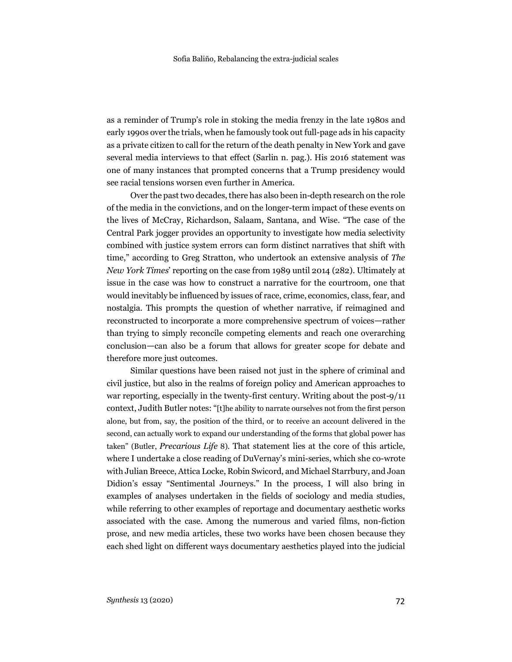as a reminder of Trump's role in stoking the media frenzy in the late 1980s and early 1990s over the trials, when he famously took out full-page ads in his capacity as a private citizen to call for the return of the death penalty in New York and gave several media interviews to that effect (Sarlin n. pag.). His 2016 statement was one of many instances that prompted concerns that a Trump presidency would see racial tensions worsen even further in America.

Over the past two decades, there has also been in-depth research on the role of the media in the convictions, and on the longer-term impact of these events on the lives of McCray, Richardson, Salaam, Santana, and Wise. "The case of the Central Park jogger provides an opportunity to investigate how media selectivity combined with justice system errors can form distinct narratives that shift with time," according to Greg Stratton, who undertook an extensive analysis of *The New York Times*' reporting on the case from 1989 until 2014 (282). Ultimately at issue in the case was how to construct a narrative for the courtroom, one that would inevitably be influenced by issues of race, crime, economics, class, fear, and nostalgia. This prompts the question of whether narrative, if reimagined and reconstructed to incorporate a more comprehensive spectrum of voices—rather than trying to simply reconcile competing elements and reach one overarching conclusion—can also be a forum that allows for greater scope for debate and therefore more just outcomes.

Similar questions have been raised not just in the sphere of criminal and civil justice, but also in the realms of foreign policy and American approaches to war reporting, especially in the twenty-first century. Writing about the post-9/11 context, Judith Butler notes: "[t]he ability to narrate ourselves not from the first person alone, but from, say, the position of the third, or to receive an account delivered in the second, can actually work to expand our understanding of the forms that global power has taken" (Butler, *Precarious Life* 8). That statement lies at the core of this article, where I undertake a close reading of DuVernay's mini-series, which she co-wrote with Julian Breece, Attica Locke, Robin Swicord, and Michael Starrbury, and Joan Didion's essay "Sentimental Journeys." In the process, I will also bring in examples of analyses undertaken in the fields of sociology and media studies, while referring to other examples of reportage and documentary aesthetic works associated with the case. Among the numerous and varied films, non-fiction prose, and new media articles, these two works have been chosen because they each shed light on different ways documentary aesthetics played into the judicial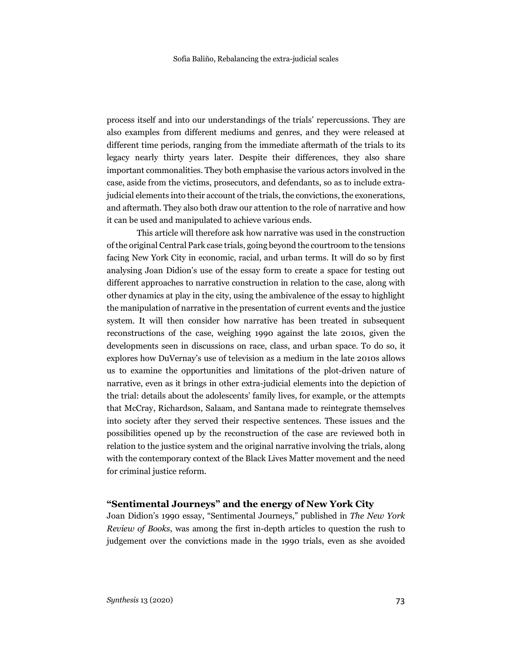process itself and into our understandings of the trials' repercussions. They are also examples from different mediums and genres, and they were released at different time periods, ranging from the immediate aftermath of the trials to its legacy nearly thirty years later. Despite their differences, they also share important commonalities. They both emphasise the various actors involved in the case, aside from the victims, prosecutors, and defendants, so as to include extrajudicial elements into their account of the trials, the convictions, the exonerations, and aftermath. They also both draw our attention to the role of narrative and how it can be used and manipulated to achieve various ends.

This article will therefore ask how narrative was used in the construction of the original Central Park case trials, going beyond the courtroom to the tensions facing New York City in economic, racial, and urban terms. It will do so by first analysing Joan Didion's use of the essay form to create a space for testing out different approaches to narrative construction in relation to the case, along with other dynamics at play in the city, using the ambivalence of the essay to highlight the manipulation of narrative in the presentation of current events and the justice system. It will then consider how narrative has been treated in subsequent reconstructions of the case, weighing 1990 against the late 2010s, given the developments seen in discussions on race, class, and urban space. To do so, it explores how DuVernay's use of television as a medium in the late 2010s allows us to examine the opportunities and limitations of the plot-driven nature of narrative, even as it brings in other extra-judicial elements into the depiction of the trial: details about the adolescents' family lives, for example, or the attempts that McCray, Richardson, Salaam, and Santana made to reintegrate themselves into society after they served their respective sentences. These issues and the possibilities opened up by the reconstruction of the case are reviewed both in relation to the justice system and the original narrative involving the trials, along with the contemporary context of the Black Lives Matter movement and the need for criminal justice reform.

### **"Sentimental Journeys" and the energy of New York City**

Joan Didion's 1990 essay, "Sentimental Journeys," published in *The New York Review of Books*, was among the first in-depth articles to question the rush to judgement over the convictions made in the 1990 trials, even as she avoided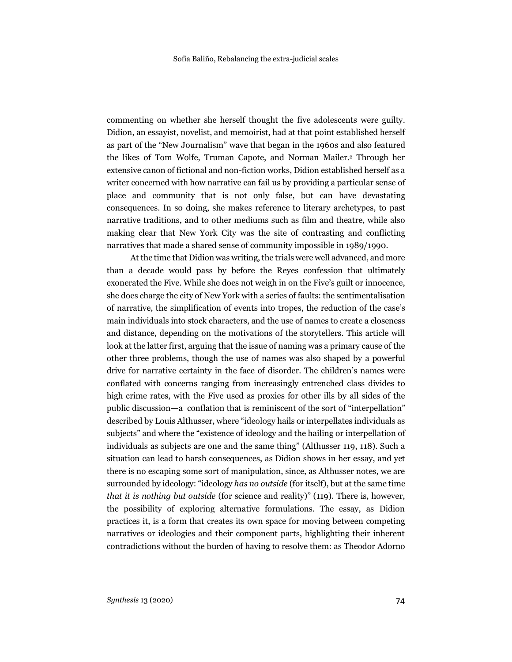commenting on whether she herself thought the five adolescents were guilty. Didion, an essayist, novelist, and memoirist, had at that point established herself as part of the "New Journalism" wave that began in the 1960s and also featured the likes of Tom Wolfe, Truman Capote, and Norman Mailer.2 Through her extensive canon of fictional and non-fiction works, Didion established herself as a writer concerned with how narrative can fail us by providing a particular sense of place and community that is not only false, but can have devastating consequences. In so doing, she makes reference to literary archetypes, to past narrative traditions, and to other mediums such as film and theatre, while also making clear that New York City was the site of contrasting and conflicting narratives that made a shared sense of community impossible in 1989/1990.

At the time that Didion was writing, the trials were well advanced, and more than a decade would pass by before the Reyes confession that ultimately exonerated the Five. While she does not weigh in on the Five's guilt or innocence, she does charge the city of New York with a series of faults: the sentimentalisation of narrative, the simplification of events into tropes, the reduction of the case's main individuals into stock characters, and the use of names to create a closeness and distance, depending on the motivations of the storytellers. This article will look at the latter first, arguing that the issue of naming was a primary cause of the other three problems, though the use of names was also shaped by a powerful drive for narrative certainty in the face of disorder. The children's names were conflated with concerns ranging from increasingly entrenched class divides to high crime rates, with the Five used as proxies for other ills by all sides of the public discussion—a conflation that is reminiscent of the sort of "interpellation" described by Louis Althusser, where "ideology hails or interpellates individuals as subjects" and where the "existence of ideology and the hailing or interpellation of individuals as subjects are one and the same thing" (Althusser 119, 118). Such a situation can lead to harsh consequences, as Didion shows in her essay, and yet there is no escaping some sort of manipulation, since, as Althusser notes, we are surrounded by ideology: "ideology *has no outside* (for itself), but at the same time *that it is nothing but outside* (for science and reality)" (119). There is, however, the possibility of exploring alternative formulations. The essay, as Didion practices it, is a form that creates its own space for moving between competing narratives or ideologies and their component parts, highlighting their inherent contradictions without the burden of having to resolve them: as Theodor Adorno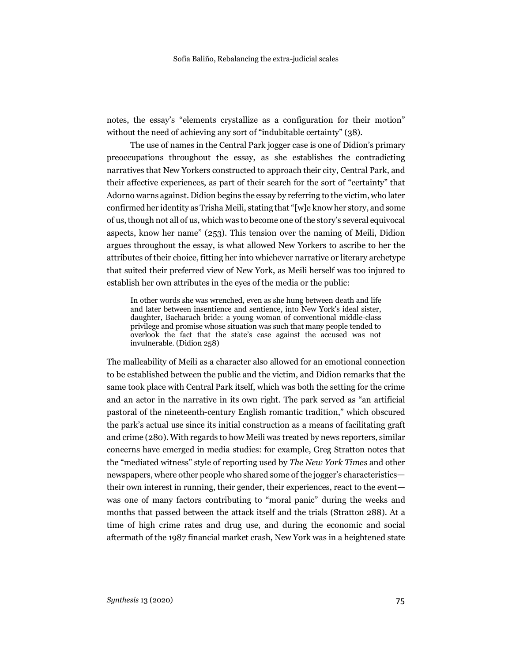notes, the essay's "elements crystallize as a configuration for their motion" without the need of achieving any sort of "indubitable certainty" (38).

The use of names in the Central Park jogger case is one of Didion's primary preoccupations throughout the essay, as she establishes the contradicting narratives that New Yorkers constructed to approach their city, Central Park, and their affective experiences, as part of their search for the sort of "certainty" that Adorno warns against. Didion begins the essay by referring to the victim, who later confirmed her identity as Trisha Meili, stating that "[w]e know her story, and some of us, though not all of us, which was to become one of the story's several equivocal aspects, know her name" (253). This tension over the naming of Meili, Didion argues throughout the essay, is what allowed New Yorkers to ascribe to her the attributes of their choice, fitting her into whichever narrative or literary archetype that suited their preferred view of New York, as Meili herself was too injured to establish her own attributes in the eyes of the media or the public:

In other words she was wrenched, even as she hung between death and life and later between insentience and sentience, into New York's ideal sister, daughter, Bacharach bride: a young woman of conventional middle-class privilege and promise whose situation was such that many people tended to overlook the fact that the state's case against the accused was not invulnerable. (Didion 258)

The malleability of Meili as a character also allowed for an emotional connection to be established between the public and the victim, and Didion remarks that the same took place with Central Park itself, which was both the setting for the crime and an actor in the narrative in its own right. The park served as "an artificial pastoral of the nineteenth-century English romantic tradition," which obscured the park's actual use since its initial construction as a means of facilitating graft and crime (280). With regards to how Meili was treated by news reporters, similar concerns have emerged in media studies: for example, Greg Stratton notes that the "mediated witness" style of reporting used by *The New York Times* and other newspapers, where other people who shared some of the jogger's characteristics their own interest in running, their gender, their experiences, react to the event was one of many factors contributing to "moral panic" during the weeks and months that passed between the attack itself and the trials (Stratton 288). At a time of high crime rates and drug use, and during the economic and social aftermath of the 1987 financial market crash, New York was in a heightened state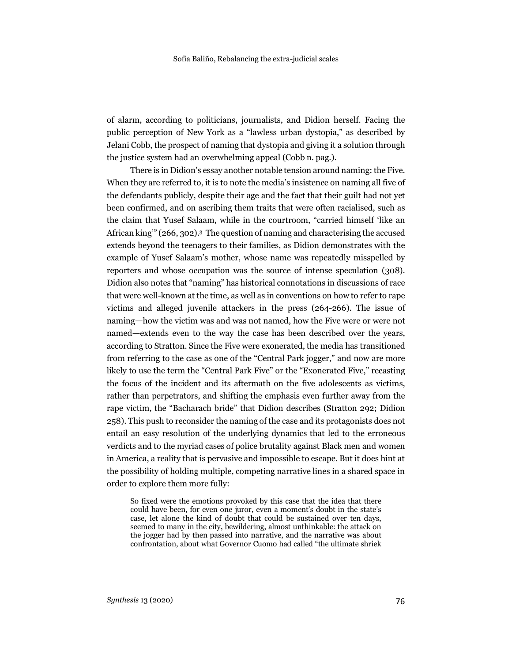of alarm, according to politicians, journalists, and Didion herself. Facing the public perception of New York as a "lawless urban dystopia," as described by Jelani Cobb, the prospect of naming that dystopia and giving it a solution through the justice system had an overwhelming appeal (Cobb n. pag.).

There is in Didion's essay another notable tension around naming: the Five. When they are referred to, it is to note the media's insistence on naming all five of the defendants publicly, despite their age and the fact that their guilt had not yet been confirmed, and on ascribing them traits that were often racialised, such as the claim that Yusef Salaam, while in the courtroom, "carried himself 'like an African king'" (266, 302).3 The question of naming and characterising the accused extends beyond the teenagers to their families, as Didion demonstrates with the example of Yusef Salaam's mother, whose name was repeatedly misspelled by reporters and whose occupation was the source of intense speculation (308). Didion also notes that "naming" has historical connotations in discussions of race that were well-known at the time, as well as in conventions on how to refer to rape victims and alleged juvenile attackers in the press (264-266). The issue of naming—how the victim was and was not named, how the Five were or were not named—extends even to the way the case has been described over the years, according to Stratton. Since the Five were exonerated, the media has transitioned from referring to the case as one of the "Central Park jogger," and now are more likely to use the term the "Central Park Five" or the "Exonerated Five," recasting the focus of the incident and its aftermath on the five adolescents as victims, rather than perpetrators, and shifting the emphasis even further away from the rape victim, the "Bacharach bride" that Didion describes (Stratton 292; Didion 258). This push to reconsider the naming of the case and its protagonists does not entail an easy resolution of the underlying dynamics that led to the erroneous verdicts and to the myriad cases of police brutality against Black men and women in America, a reality that is pervasive and impossible to escape. But it does hint at the possibility of holding multiple, competing narrative lines in a shared space in order to explore them more fully:

So fixed were the emotions provoked by this case that the idea that there could have been, for even one juror, even a moment's doubt in the state's case, let alone the kind of doubt that could be sustained over ten days, seemed to many in the city, bewildering, almost unthinkable: the attack on the jogger had by then passed into narrative, and the narrative was about confrontation, about what Governor Cuomo had called "the ultimate shriek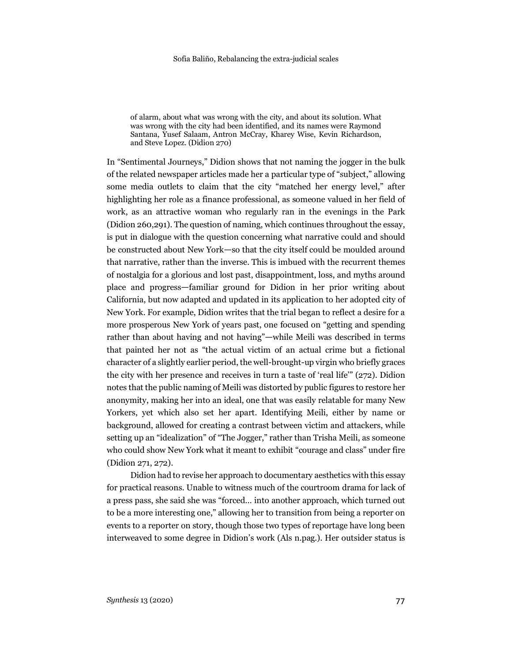of alarm, about what was wrong with the city, and about its solution. What was wrong with the city had been identified, and its names were Raymond Santana, Yusef Salaam, Antron McCray, Kharey Wise, Kevin Richardson, and Steve Lopez. (Didion 270)

In "Sentimental Journeys," Didion shows that not naming the jogger in the bulk of the related newspaper articles made her a particular type of "subject," allowing some media outlets to claim that the city "matched her energy level," after highlighting her role as a finance professional, as someone valued in her field of work, as an attractive woman who regularly ran in the evenings in the Park (Didion 260,291). The question of naming, which continues throughout the essay, is put in dialogue with the question concerning what narrative could and should be constructed about New York—so that the city itself could be moulded around that narrative, rather than the inverse. This is imbued with the recurrent themes of nostalgia for a glorious and lost past, disappointment, loss, and myths around place and progress—familiar ground for Didion in her prior writing about California, but now adapted and updated in its application to her adopted city of New York. For example, Didion writes that the trial began to reflect a desire for a more prosperous New York of years past, one focused on "getting and spending rather than about having and not having"—while Meili was described in terms that painted her not as "the actual victim of an actual crime but a fictional character of a slightly earlier period, the well-brought-up virgin who briefly graces the city with her presence and receives in turn a taste of 'real life'" (272). Didion notes that the public naming of Meili was distorted by public figures to restore her anonymity, making her into an ideal, one that was easily relatable for many New Yorkers, yet which also set her apart. Identifying Meili, either by name or background, allowed for creating a contrast between victim and attackers, while setting up an "idealization" of "The Jogger," rather than Trisha Meili, as someone who could show New York what it meant to exhibit "courage and class" under fire (Didion 271, 272).

Didion had to revise her approach to documentary aesthetics with this essay for practical reasons. Unable to witness much of the courtroom drama for lack of a press pass, she said she was "forced… into another approach, which turned out to be a more interesting one," allowing her to transition from being a reporter on events to a reporter on story, though those two types of reportage have long been interweaved to some degree in Didion's work (Als n.pag.). Her outsider status is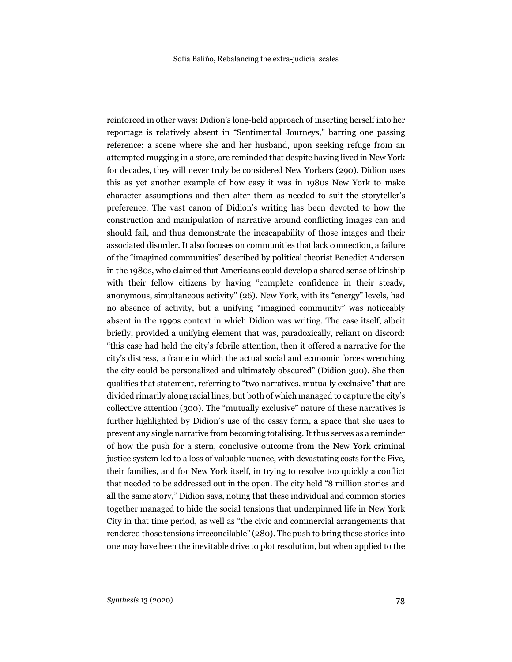reinforced in other ways: Didion's long-held approach of inserting herself into her reportage is relatively absent in "Sentimental Journeys," barring one passing reference: a scene where she and her husband, upon seeking refuge from an attempted mugging in a store, are reminded that despite having lived in New York for decades, they will never truly be considered New Yorkers (290). Didion uses this as yet another example of how easy it was in 1980s New York to make character assumptions and then alter them as needed to suit the storyteller's preference. The vast canon of Didion's writing has been devoted to how the construction and manipulation of narrative around conflicting images can and should fail, and thus demonstrate the inescapability of those images and their associated disorder. It also focuses on communities that lack connection, a failure of the "imagined communities" described by political theorist Benedict Anderson in the 1980s, who claimed that Americans could develop a shared sense of kinship with their fellow citizens by having "complete confidence in their steady, anonymous, simultaneous activity" (26). New York, with its "energy" levels, had no absence of activity, but a unifying "imagined community" was noticeably absent in the 1990s context in which Didion was writing. The case itself, albeit briefly, provided a unifying element that was, paradoxically, reliant on discord: "this case had held the city's febrile attention, then it offered a narrative for the city's distress, a frame in which the actual social and economic forces wrenching the city could be personalized and ultimately obscured" (Didion 300). She then qualifies that statement, referring to "two narratives, mutually exclusive" that are divided rimarily along racial lines, but both of which managed to capture the city's collective attention (300). The "mutually exclusive" nature of these narratives is further highlighted by Didion's use of the essay form, a space that she uses to prevent any single narrative from becoming totalising.It thus serves as a reminder of how the push for a stern, conclusive outcome from the New York criminal justice system led to a loss of valuable nuance, with devastating costs for the Five, their families, and for New York itself, in trying to resolve too quickly a conflict that needed to be addressed out in the open. The city held "8 million stories and all the same story," Didion says, noting that these individual and common stories together managed to hide the social tensions that underpinned life in New York City in that time period, as well as "the civic and commercial arrangements that rendered those tensions irreconcilable" (280). The push to bring these stories into one may have been the inevitable drive to plot resolution, but when applied to the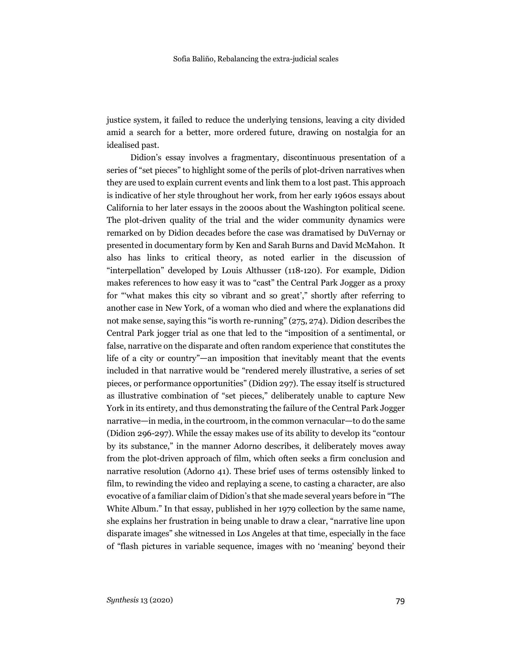justice system, it failed to reduce the underlying tensions, leaving a city divided amid a search for a better, more ordered future, drawing on nostalgia for an idealised past.

Didion's essay involves a fragmentary, discontinuous presentation of a series of "set pieces" to highlight some of the perils of plot-driven narratives when they are used to explain current events and link them to a lost past. This approach is indicative of her style throughout her work, from her early 1960s essays about California to her later essays in the 2000s about the Washington political scene. The plot-driven quality of the trial and the wider community dynamics were remarked on by Didion decades before the case was dramatised by DuVernay or presented in documentary form by Ken and Sarah Burns and David McMahon. It also has links to critical theory, as noted earlier in the discussion of "interpellation" developed by Louis Althusser (118-120). For example, Didion makes references to how easy it was to "cast" the Central Park Jogger as a proxy for "'what makes this city so vibrant and so great'," shortly after referring to another case in New York, of a woman who died and where the explanations did not make sense, saying this "is worth re-running" (275, 274). Didion describes the Central Park jogger trial as one that led to the "imposition of a sentimental, or false, narrative on the disparate and often random experience that constitutes the life of a city or country"—an imposition that inevitably meant that the events included in that narrative would be "rendered merely illustrative, a series of set pieces, or performance opportunities" (Didion 297). The essay itself is structured as illustrative combination of "set pieces," deliberately unable to capture New York in its entirety, and thus demonstrating the failure of the Central Park Jogger narrative—in media, in the courtroom, in the common vernacular—to do the same (Didion 296-297). While the essay makes use of its ability to develop its "contour by its substance," in the manner Adorno describes, it deliberately moves away from the plot-driven approach of film, which often seeks a firm conclusion and narrative resolution (Adorno 41). These brief uses of terms ostensibly linked to film, to rewinding the video and replaying a scene, to casting a character, are also evocative of a familiar claim of Didion's that she made several years before in "The White Album." In that essay, published in her 1979 collection by the same name, she explains her frustration in being unable to draw a clear, "narrative line upon disparate images" she witnessed in Los Angeles at that time, especially in the face of "flash pictures in variable sequence, images with no 'meaning' beyond their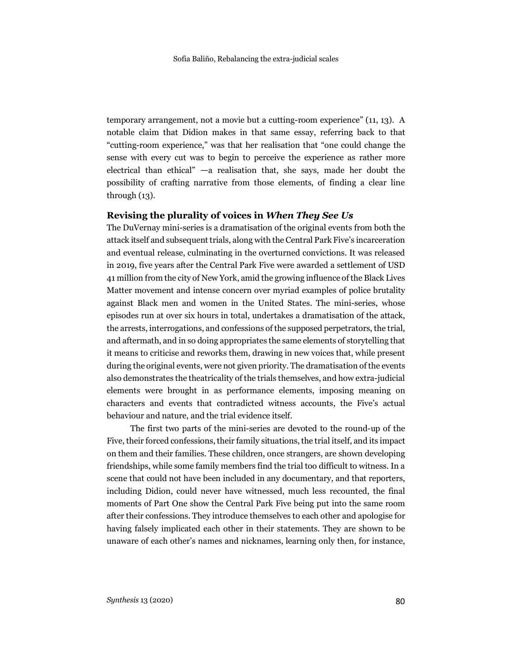temporary arrangement, not a movie but a cutting-room experience" (11, 13). A notable claim that Didion makes in that same essay, referring back to that "cutting-room experience," was that her realisation that "one could change the sense with every cut was to begin to perceive the experience as rather more electrical than ethical" —a realisation that, she says, made her doubt the possibility of crafting narrative from those elements, of finding a clear line through  $(13)$ .

#### **Revising the plurality of voices in** *When They See Us*

The DuVernay mini-series is a dramatisation of the original events from both the attack itself and subsequent trials, along with the Central Park Five's incarceration and eventual release, culminating in the overturned convictions. It was released in 2019, five years after the Central Park Five were awarded a settlement of USD 41 million from the city of New York, amid the growing influence of the Black Lives Matter movement and intense concern over myriad examples of police brutality against Black men and women in the United States. The mini-series, whose episodes run at over six hours in total, undertakes a dramatisation of the attack, the arrests, interrogations, and confessions of the supposed perpetrators, the trial, and aftermath, and in so doing appropriates the same elements of storytelling that it means to criticise and reworks them, drawing in new voices that, while present during the original events, were not given priority. The dramatisation of the events also demonstrates the theatricality of the trials themselves, and how extra-judicial elements were brought in as performance elements, imposing meaning on characters and events that contradicted witness accounts, the Five's actual behaviour and nature, and the trial evidence itself.

The first two parts of the mini-series are devoted to the round-up of the Five, their forced confessions, their family situations, the trial itself, and its impact on them and their families. These children, once strangers, are shown developing friendships, while some family members find the trial too difficult to witness. In a scene that could not have been included in any documentary, and that reporters, including Didion, could never have witnessed, much less recounted, the final moments of Part One show the Central Park Five being put into the same room after their confessions. They introduce themselves to each other and apologise for having falsely implicated each other in their statements. They are shown to be unaware of each other's names and nicknames, learning only then, for instance,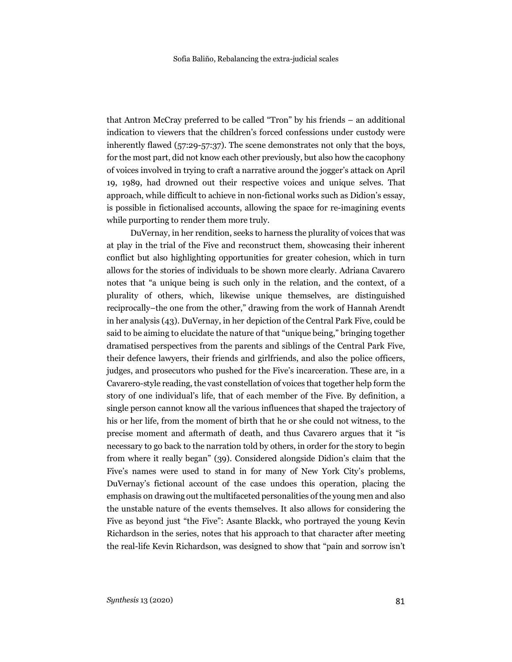that Antron McCray preferred to be called "Tron" by his friends – an additional indication to viewers that the children's forced confessions under custody were inherently flawed (57:29-57:37). The scene demonstrates not only that the boys, for the most part, did not know each other previously, but also how the cacophony of voices involved in trying to craft a narrative around the jogger's attack on April 19, 1989, had drowned out their respective voices and unique selves. That approach, while difficult to achieve in non-fictional works such as Didion's essay, is possible in fictionalised accounts, allowing the space for re-imagining events while purporting to render them more truly.

DuVernay, in her rendition, seeks to harness the plurality of voices that was at play in the trial of the Five and reconstruct them, showcasing their inherent conflict but also highlighting opportunities for greater cohesion, which in turn allows for the stories of individuals to be shown more clearly. Adriana Cavarero notes that "a unique being is such only in the relation, and the context, of a plurality of others, which, likewise unique themselves, are distinguished reciprocally–the one from the other," drawing from the work of Hannah Arendt in her analysis (43). DuVernay, in her depiction of the Central Park Five, could be said to be aiming to elucidate the nature of that "unique being," bringing together dramatised perspectives from the parents and siblings of the Central Park Five, their defence lawyers, their friends and girlfriends, and also the police officers, judges, and prosecutors who pushed for the Five's incarceration. These are, in a Cavarero-style reading, the vast constellation of voices that together help form the story of one individual's life, that of each member of the Five. By definition, a single person cannot know all the various influences that shaped the trajectory of his or her life, from the moment of birth that he or she could not witness, to the precise moment and aftermath of death, and thus Cavarero argues that it "is necessary to go back to the narration told by others, in order for the story to begin from where it really began" (39). Considered alongside Didion's claim that the Five's names were used to stand in for many of New York City's problems, DuVernay's fictional account of the case undoes this operation, placing the emphasis on drawing out the multifaceted personalities of the young men and also the unstable nature of the events themselves. It also allows for considering the Five as beyond just "the Five": Asante Blackk, who portrayed the young Kevin Richardson in the series, notes that his approach to that character after meeting the real-life Kevin Richardson, was designed to show that "pain and sorrow isn't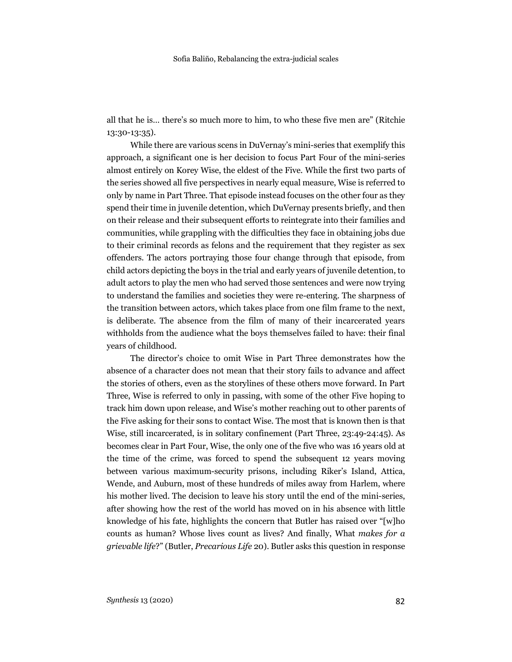all that he is… there's so much more to him, to who these five men are" (Ritchie 13:30-13:35).

While there are various scens in DuVernay's mini-series that exemplify this approach, a significant one is her decision to focus Part Four of the mini-series almost entirely on Korey Wise, the eldest of the Five. While the first two parts of the series showed all five perspectives in nearly equal measure, Wise is referred to only by name in Part Three. That episode instead focuses on the other four as they spend their time in juvenile detention, which DuVernay presents briefly, and then on their release and their subsequent efforts to reintegrate into their families and communities, while grappling with the difficulties they face in obtaining jobs due to their criminal records as felons and the requirement that they register as sex offenders. The actors portraying those four change through that episode, from child actors depicting the boys in the trial and early years of juvenile detention, to adult actors to play the men who had served those sentences and were now trying to understand the families and societies they were re-entering. The sharpness of the transition between actors, which takes place from one film frame to the next, is deliberate. The absence from the film of many of their incarcerated years withholds from the audience what the boys themselves failed to have: their final years of childhood.

The director's choice to omit Wise in Part Three demonstrates how the absence of a character does not mean that their story fails to advance and affect the stories of others, even as the storylines of these others move forward. In Part Three, Wise is referred to only in passing, with some of the other Five hoping to track him down upon release, and Wise's mother reaching out to other parents of the Five asking for their sons to contact Wise. The most that is known then is that Wise, still incarcerated, is in solitary confinement (Part Three, 23:49-24:45). As becomes clear in Part Four, Wise, the only one of the five who was 16 years old at the time of the crime, was forced to spend the subsequent 12 years moving between various maximum-security prisons, including Riker's Island, Attica, Wende, and Auburn, most of these hundreds of miles away from Harlem, where his mother lived. The decision to leave his story until the end of the mini-series, after showing how the rest of the world has moved on in his absence with little knowledge of his fate, highlights the concern that Butler has raised over "[w]ho counts as human? Whose lives count as lives? And finally, What *makes for a grievable life*?" (Butler, *Precarious Life* 20). Butler asks this question in response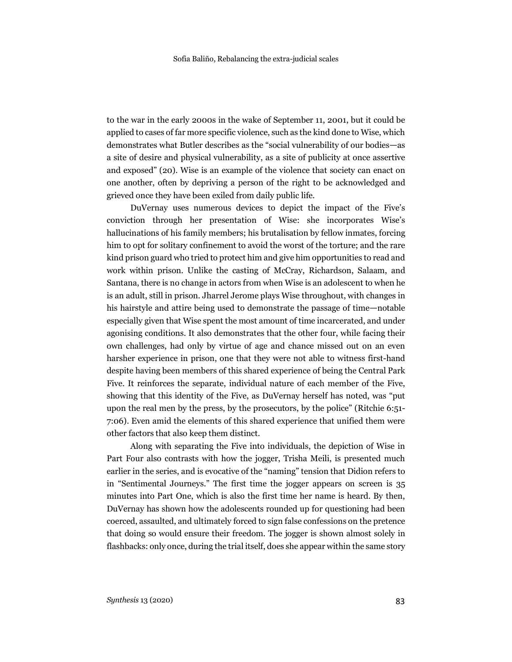to the war in the early 2000s in the wake of September 11, 2001, but it could be applied to cases of far more specific violence, such as the kind done to Wise, which demonstrates what Butler describes as the "social vulnerability of our bodies—as a site of desire and physical vulnerability, as a site of publicity at once assertive and exposed" (20). Wise is an example of the violence that society can enact on one another, often by depriving a person of the right to be acknowledged and grieved once they have been exiled from daily public life.

DuVernay uses numerous devices to depict the impact of the Five's conviction through her presentation of Wise: she incorporates Wise's hallucinations of his family members; his brutalisation by fellow inmates, forcing him to opt for solitary confinement to avoid the worst of the torture; and the rare kind prison guard who tried to protect him and give him opportunities to read and work within prison. Unlike the casting of McCray, Richardson, Salaam, and Santana, there is no change in actors from when Wise is an adolescent to when he is an adult, still in prison. Jharrel Jerome plays Wise throughout, with changes in his hairstyle and attire being used to demonstrate the passage of time—notable especially given that Wise spent the most amount of time incarcerated, and under agonising conditions. It also demonstrates that the other four, while facing their own challenges, had only by virtue of age and chance missed out on an even harsher experience in prison, one that they were not able to witness first-hand despite having been members of this shared experience of being the Central Park Five. It reinforces the separate, individual nature of each member of the Five, showing that this identity of the Five, as DuVernay herself has noted, was "put upon the real men by the press, by the prosecutors, by the police" (Ritchie 6:51- 7:06). Even amid the elements of this shared experience that unified them were other factors that also keep them distinct.

Along with separating the Five into individuals, the depiction of Wise in Part Four also contrasts with how the jogger, Trisha Meili, is presented much earlier in the series, and is evocative of the "naming" tension that Didion refers to in "Sentimental Journeys." The first time the jogger appears on screen is 35 minutes into Part One, which is also the first time her name is heard. By then, DuVernay has shown how the adolescents rounded up for questioning had been coerced, assaulted, and ultimately forced to sign false confessions on the pretence that doing so would ensure their freedom. The jogger is shown almost solely in flashbacks: only once, during the trial itself, does she appear within the same story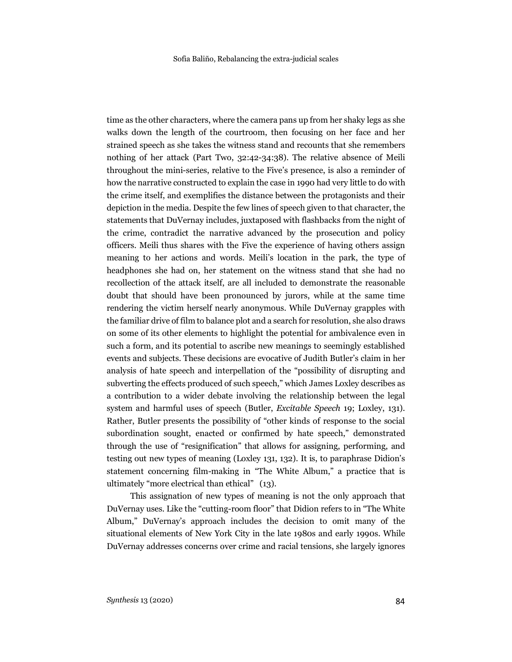time as the other characters, where the camera pans up from her shaky legs as she walks down the length of the courtroom, then focusing on her face and her strained speech as she takes the witness stand and recounts that she remembers nothing of her attack (Part Two, 32:42-34:38). The relative absence of Meili throughout the mini-series, relative to the Five's presence, is also a reminder of how the narrative constructed to explain the case in 1990 had very little to do with the crime itself, and exemplifies the distance between the protagonists and their depiction in the media. Despite the few lines of speech given to that character, the statements that DuVernay includes, juxtaposed with flashbacks from the night of the crime, contradict the narrative advanced by the prosecution and policy officers. Meili thus shares with the Five the experience of having others assign meaning to her actions and words. Meili's location in the park, the type of headphones she had on, her statement on the witness stand that she had no recollection of the attack itself, are all included to demonstrate the reasonable doubt that should have been pronounced by jurors, while at the same time rendering the victim herself nearly anonymous. While DuVernay grapples with the familiar drive of film to balance plot and a search for resolution, she also draws on some of its other elements to highlight the potential for ambivalence even in such a form, and its potential to ascribe new meanings to seemingly established events and subjects. These decisions are evocative of Judith Butler's claim in her analysis of hate speech and interpellation of the "possibility of disrupting and subverting the effects produced of such speech," which James Loxley describes as a contribution to a wider debate involving the relationship between the legal system and harmful uses of speech (Butler, *Excitable Speech* 19; Loxley, 131). Rather, Butler presents the possibility of "other kinds of response to the social subordination sought, enacted or confirmed by hate speech," demonstrated through the use of "resignification" that allows for assigning, performing, and testing out new types of meaning (Loxley 131, 132). It is, to paraphrase Didion's statement concerning film-making in "The White Album," a practice that is ultimately "more electrical than ethical" (13).

This assignation of new types of meaning is not the only approach that DuVernay uses. Like the "cutting-room floor" that Didion refers to in "The White Album," DuVernay's approach includes the decision to omit many of the situational elements of New York City in the late 1980s and early 1990s. While DuVernay addresses concerns over crime and racial tensions, she largely ignores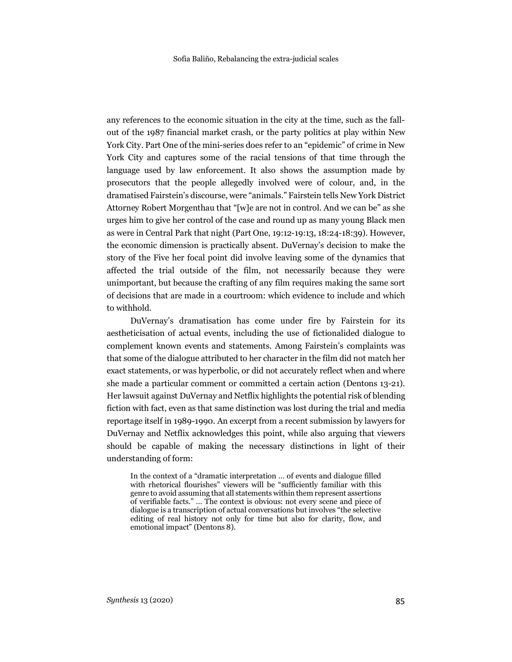any references to the economic situation in the city at the time, such as the fallout of the 1987 financial market crash, or the party politics at play within New York City. Part One of the mini-series does refer to an "epidemic" of crime in New York City and captures some of the racial tensions of that time through the language used by law enforcement. It also shows the assumption made by prosecutors that the people allegedly involved were of colour, and, in the dramatised Fairstein's discourse, were "animals." Fairstein tells New York District Attorney Robert Morgenthau that "[w]e are not in control. And we can be" as she urges him to give her control of the case and round up as many young Black men as were in Central Park that night (Part One, 19:12-19:13, 18:24-18:39). However, the economic dimension is practically absent. DuVernay's decision to make the story of the Five her focal point did involve leaving some of the dynamics that affected the trial outside of the film, not necessarily because they were unimportant, but because the crafting of any film requires making the same sort of decisions that are made in a courtroom: which evidence to include and which to withhold.

DuVernay's dramatisation has come under fire by Fairstein for its aestheticisation of actual events, including the use of fictionalided dialogue to complement known events and statements. Among Fairstein's complaints was that some of the dialogue attributed to her character in the film did not match her exact statements, or was hyperbolic, or did not accurately reflect when and where she made a particular comment or committed a certain action (Dentons 13-21). Her lawsuit against DuVernay and Netflix highlights the potential risk of blending fiction with fact, even as that same distinction was lost during the trial and media reportage itself in 1989-1990. An excerpt from a recent submission by lawyers for DuVernay and Netflix acknowledges this point, while also arguing that viewers should be capable of making the necessary distinctions in light of their understanding of form:

In the context of a "dramatic interpretation … of events and dialogue filled with rhetorical flourishes" viewers will be "sufficiently familiar with this genre to avoid assuming that all statements within them represent assertions of verifiable facts." … The context is obvious: not every scene and piece of dialogue is a transcription of actual conversations but involves "the selective editing of real history not only for time but also for clarity, flow, and emotional impact" (Dentons 8).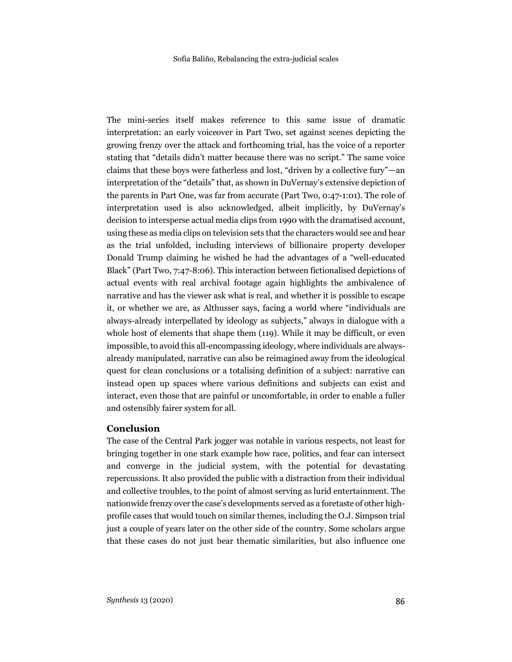The mini-series itself makes reference to this same issue of dramatic interpretation: an early voiceover in Part Two, set against scenes depicting the growing frenzy over the attack and forthcoming trial, has the voice of a reporter stating that "details didn't matter because there was no script." The same voice claims that these boys were fatherless and lost, "driven by a collective fury"—an interpretation of the "details" that, as shown in DuVernay's extensive depiction of the parents in Part One, was far from accurate (Part Two, 0:47-1:01). The role of interpretation used is also acknowledged, albeit implicitly, by DuVernay's decision to intersperse actual media clips from 1990 with the dramatised account, using these as media clips on television sets that the characters would see and hear as the trial unfolded, including interviews of billionaire property developer Donald Trump claiming he wished he had the advantages of a "well-educated Black" (Part Two, 7:47-8:06). This interaction between fictionalised depictions of actual events with real archival footage again highlights the ambivalence of narrative and has the viewer ask what is real, and whether it is possible to escape it, or whether we are, as Althusser says, facing a world where "individuals are always-already interpellated by ideology as subjects," always in dialogue with a whole host of elements that shape them (119). While it may be difficult, or even impossible, to avoid this all-encompassing ideology, where individuals are alwaysalready manipulated, narrative can also be reimagined away from the ideological quest for clean conclusions or a totalising definition of a subject: narrative can instead open up spaces where various definitions and subjects can exist and interact, even those that are painful or uncomfortable, in order to enable a fuller and ostensibly fairer system for all.

# **Conclusion**

The case of the Central Park jogger was notable in various respects, not least for bringing together in one stark example how race, politics, and fear can intersect and converge in the judicial system, with the potential for devastating repercussions. It also provided the public with a distraction from their individual and collective troubles, to the point of almost serving as lurid entertainment. The nationwide frenzy over the case's developments served as a foretaste of other highprofile cases that would touch on similar themes, including the O.J. Simpson trial just a couple of years later on the other side of the country. Some scholars argue that these cases do not just bear thematic similarities, but also influence one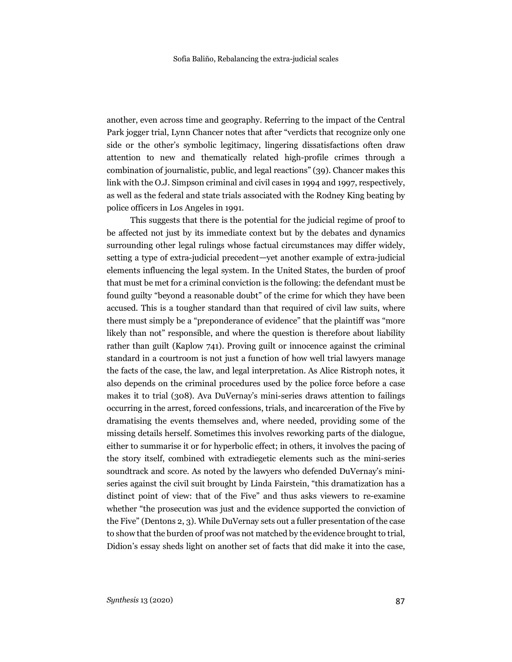another, even across time and geography. Referring to the impact of the Central Park jogger trial, Lynn Chancer notes that after "verdicts that recognize only one side or the other's symbolic legitimacy, lingering dissatisfactions often draw attention to new and thematically related high-profile crimes through a combination of journalistic, public, and legal reactions" (39). Chancer makes this link with the O.J. Simpson criminal and civil cases in 1994 and 1997, respectively, as well as the federal and state trials associated with the Rodney King beating by police officers in Los Angeles in 1991.

This suggests that there is the potential for the judicial regime of proof to be affected not just by its immediate context but by the debates and dynamics surrounding other legal rulings whose factual circumstances may differ widely, setting a type of extra-judicial precedent—yet another example of extra-judicial elements influencing the legal system. In the United States, the burden of proof that must be met for a criminal conviction is the following: the defendant must be found guilty "beyond a reasonable doubt" of the crime for which they have been accused. This is a tougher standard than that required of civil law suits, where there must simply be a "preponderance of evidence" that the plaintiff was "more likely than not" responsible, and where the question is therefore about liability rather than guilt (Kaplow 741). Proving guilt or innocence against the criminal standard in a courtroom is not just a function of how well trial lawyers manage the facts of the case, the law, and legal interpretation. As Alice Ristroph notes, it also depends on the criminal procedures used by the police force before a case makes it to trial (308). Ava DuVernay's mini-series draws attention to failings occurring in the arrest, forced confessions, trials, and incarceration of the Five by dramatising the events themselves and, where needed, providing some of the missing details herself. Sometimes this involves reworking parts of the dialogue, either to summarise it or for hyperbolic effect; in others, it involves the pacing of the story itself, combined with extradiegetic elements such as the mini-series soundtrack and score. As noted by the lawyers who defended DuVernay's miniseries against the civil suit brought by Linda Fairstein, "this dramatization has a distinct point of view: that of the Five" and thus asks viewers to re-examine whether "the prosecution was just and the evidence supported the conviction of the Five" (Dentons 2, 3). While DuVernay sets out a fuller presentation of the case to show that the burden of proof was not matched by the evidence brought to trial, Didion's essay sheds light on another set of facts that did make it into the case,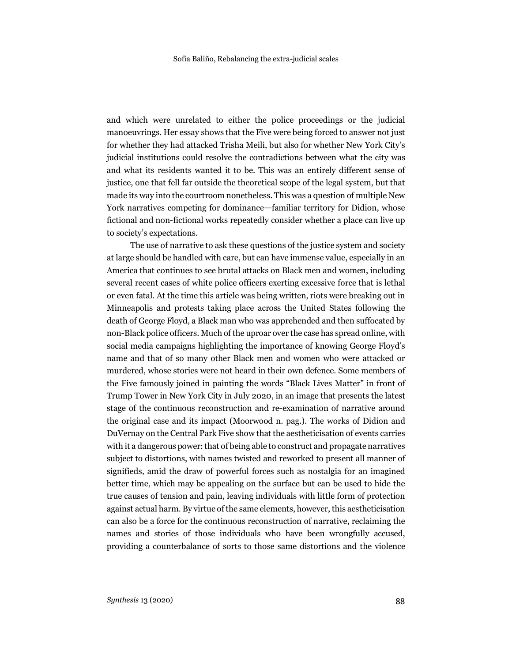and which were unrelated to either the police proceedings or the judicial manoeuvrings. Her essay shows that the Five were being forced to answer not just for whether they had attacked Trisha Meili, but also for whether New York City's judicial institutions could resolve the contradictions between what the city was and what its residents wanted it to be. This was an entirely different sense of justice, one that fell far outside the theoretical scope of the legal system, but that made its way into the courtroom nonetheless. This was a question of multiple New York narratives competing for dominance—familiar territory for Didion, whose fictional and non-fictional works repeatedly consider whether a place can live up to society's expectations.

The use of narrative to ask these questions of the justice system and society at large should be handled with care, but can have immense value, especially in an America that continues to see brutal attacks on Black men and women, including several recent cases of white police officers exerting excessive force that is lethal or even fatal. At the time this article was being written, riots were breaking out in Minneapolis and protests taking place across the United States following the death of George Floyd, a Black man who was apprehended and then suffocated by non-Black police officers. Much of the uproar over the case has spread online, with social media campaigns highlighting the importance of knowing George Floyd's name and that of so many other Black men and women who were attacked or murdered, whose stories were not heard in their own defence. Some members of the Five famously joined in painting the words "Black Lives Matter" in front of Trump Tower in New York City in July 2020, in an image that presents the latest stage of the continuous reconstruction and re-examination of narrative around the original case and its impact (Moorwood n. pag.). The works of Didion and DuVernay on the Central Park Five show that the aestheticisation of events carries with it a dangerous power: that of being able to construct and propagate narratives subject to distortions, with names twisted and reworked to present all manner of signifieds, amid the draw of powerful forces such as nostalgia for an imagined better time, which may be appealing on the surface but can be used to hide the true causes of tension and pain, leaving individuals with little form of protection against actual harm. By virtue of the same elements, however, this aestheticisation can also be a force for the continuous reconstruction of narrative, reclaiming the names and stories of those individuals who have been wrongfully accused, providing a counterbalance of sorts to those same distortions and the violence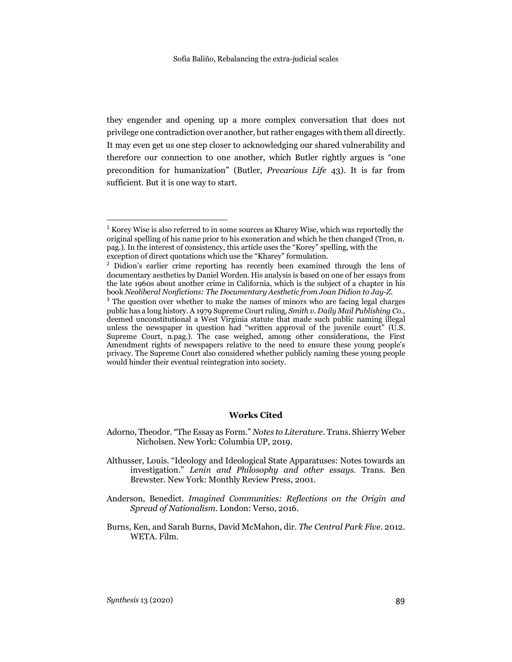they engender and opening up a more complex conversation that does not privilege one contradiction over another, but rather engages with them all directly. It may even get us one step closer to acknowledging our shared vulnerability and therefore our connection to one another, which Butler rightly argues is "one precondition for humanization" (Butler, *Precarious Life* 43). It is far from sufficient. But it is one way to start.

#### **Works Cited**

- Anderson, Benedict. *Imagined Communities: Reflections on the Origin and Spread of Nationalism*. London: Verso, 2016.
- Burns, Ken, and Sarah Burns, David McMahon, dir. *The Central Park Five*. 2012. WETA. Film.

l

<sup>1</sup> Korey Wise is also referred to in some sources as Kharey Wise, which was reportedly the original spelling of his name prior to his exoneration and which he then changed (Tron, n. pag.). In the interest of consistency, this article uses the "Korey" spelling, with the exception of direct quotations which use the "Kharey" formulation.

<sup>2</sup> Didion's earlier crime reporting has recently been examined through the lens of documentary aesthetics by Daniel Worden. His analysis is based on one of her essays from the late 1960s about another crime in California, which is the subject of a chapter in his book *Neoliberal Nonfictions: The Documentary Aesthetic from Joan Didion to Jay-Z*.

<sup>&</sup>lt;sup>3</sup> The question over whether to make the names of minors who are facing legal charges public has a long history. A 1979 Supreme Court ruling, *Smith v. Daily Mail Publishing Co.*, deemed unconstitutional a West Virginia statute that made such public naming illegal unless the newspaper in question had "written approval of the juvenile court" (U.S. Supreme Court, n.pag.). The case weighed, among other considerations, the First Amendment rights of newspapers relative to the need to ensure these young people's privacy. The Supreme Court also considered whether publicly naming these young people would hinder their eventual reintegration into society.

Adorno, Theodor. "The Essay as Form." *Notes to Literature*. Trans. Shierry Weber Nicholsen. New York: Columbia UP, 2019.

Althusser, Louis. "Ideology and Ideological State Apparatuses: Notes towards an investigation." *Lenin and Philosophy and other essays*. Trans. Ben Brewster. New York: Monthly Review Press, 2001.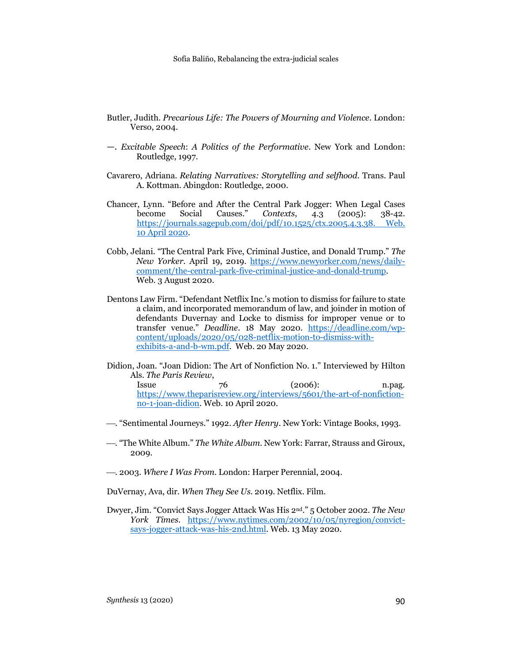- Butler, Judith. *Precarious Life: The Powers of Mourning and Violence*. London: Verso, 2004.
- —. *Excitable Speech*: *A Politics of the Performative*. New York and London: Routledge, 1997.
- Cavarero, Adriana. *Relating Narratives: Storytelling and selfhood*. Trans. Paul A. Kottman. Abingdon: Routledge, 2000.
- Chancer, Lynn. "Before and After the Central Park Jogger: When Legal Cases become Social Causes." *Contexts*, 4.3 (2005): 38-42. https://journals.sagepub.com/doi/pdf/10.1525/ctx.2005.4.3.38. Web. 10 April 2020.
- Cobb, Jelani. "The Central Park Five, Criminal Justice, and Donald Trump." *The New Yorker*. April 19, 2019. https://www.newyorker.com/news/dailycomment/the-central-park-five-criminal-justice-and-donald-trump. Web. 3 August 2020.
- Dentons Law Firm. "Defendant Netflix Inc.'s motion to dismiss for failure to state a claim, and incorporated memorandum of law, and joinder in motion of defendants Duvernay and Locke to dismiss for improper venue or to transfer venue." *Deadline*. 18 May 2020. https://deadline.com/wpcontent/uploads/2020/05/028-netflix-motion-to-dismiss-withexhibits-a-and-b-wm.pdf. Web. 20 May 2020.
- Didion, Joan. "Joan Didion: The Art of Nonfiction No. 1." Interviewed by Hilton Als. *The Paris Review*, Issue 76 (2006): n.pag. https://www.theparisreview.org/interviews/5601/the-art-of-nonfictionno-1-joan-didion. Web. 10 April 2020.
- ¾. "Sentimental Journeys." 1992. *After Henry*. New York: Vintage Books, 1993.
- ¾. "The White Album." *The White Album*. New York: Farrar, Strauss and Giroux, 2009.
- ¾. 2003. *Where I Was From*. London: Harper Perennial, 2004.
- DuVernay, Ava, dir. *When They See Us*. 2019. Netflix. Film.
- Dwyer, Jim. "Convict Says Jogger Attack Was His 2nd." 5 October 2002. *The New York Times*. https://www.nytimes.com/2002/10/05/nyregion/convictsays-jogger-attack-was-his-2nd.html. Web. 13 May 2020.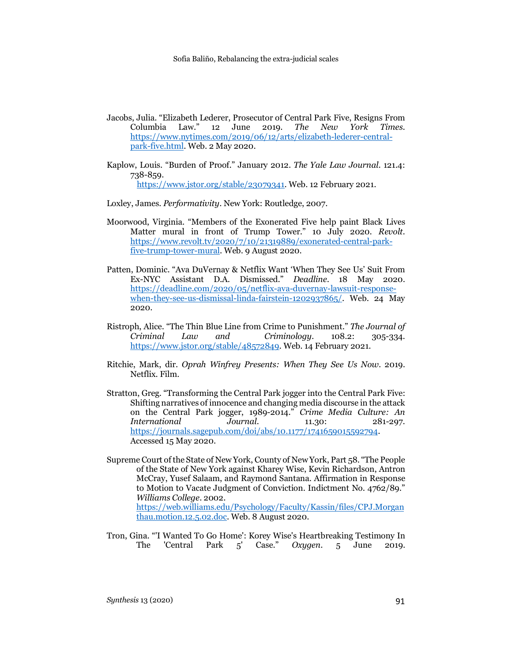- Jacobs, Julia. "Elizabeth Lederer, Prosecutor of Central Park Five, Resigns From Columbia Law." 12 June 2019. *The New York Times*. https://www.nytimes.com/2019/06/12/arts/elizabeth-lederer-centralpark-five.html. Web. 2 May 2020.
- Kaplow, Louis. "Burden of Proof." January 2012. *The Yale Law Journal*. 121.4: 738-859. https://www.jstor.org/stable/23079341. Web. 12 February 2021.
- Loxley, James. *Performativity*. New York: Routledge, 2007.
- Moorwood, Virginia. "Members of the Exonerated Five help paint Black Lives Matter mural in front of Trump Tower." 10 July 2020. *Revolt*. https://www.revolt.tv/2020/7/10/21319889/exonerated-central-parkfive-trump-tower-mural. Web. 9 August 2020.
- Patten, Dominic. "Ava DuVernay & Netflix Want 'When They See Us' Suit From Ex-NYC Assistant D.A. Dismissed." *Deadline*. 18 May 2020. https://deadline.com/2020/05/netflix-ava-duvernay-lawsuit-responsewhen-they-see-us-dismissal-linda-fairstein-1202937865/. Web. 24 May 2020.
- Ristroph, Alice. "The Thin Blue Line from Crime to Punishment." *The Journal of Criminal Law and Criminology.* 108.2: 305-334. https://www.jstor.org/stable/48572849. Web. 14 February 2021.
- Ritchie, Mark, dir. *Oprah Winfrey Presents: When They See Us Now*. 2019. Netflix. Film.
- Stratton, Greg. "Transforming the Central Park jogger into the Central Park Five: Shifting narratives of innocence and changing media discourse in the attack on the Central Park jogger, 1989-2014." *Crime Media Culture: An International Journal.* 11.30: 281-297. https://journals.sagepub.com/doi/abs/10.1177/1741659015592794. Accessed 15 May 2020.
- Supreme Court of the State of New York, County of New York, Part 58. "The People of the State of New York against Kharey Wise, Kevin Richardson, Antron McCray, Yusef Salaam, and Raymond Santana. Affirmation in Response to Motion to Vacate Judgment of Conviction. Indictment No. 4762/89." *Williams College*. 2002. https://web.williams.edu/Psychology/Faculty/Kassin/files/CPJ.Morgan
- Tron, Gina. "'I Wanted To Go Home': Korey Wise's Heartbreaking Testimony In The 'Central Park 5' Case." *Oxygen*. 5 June 2019.

thau.motion.12.5.02.doc. Web. 8 August 2020.